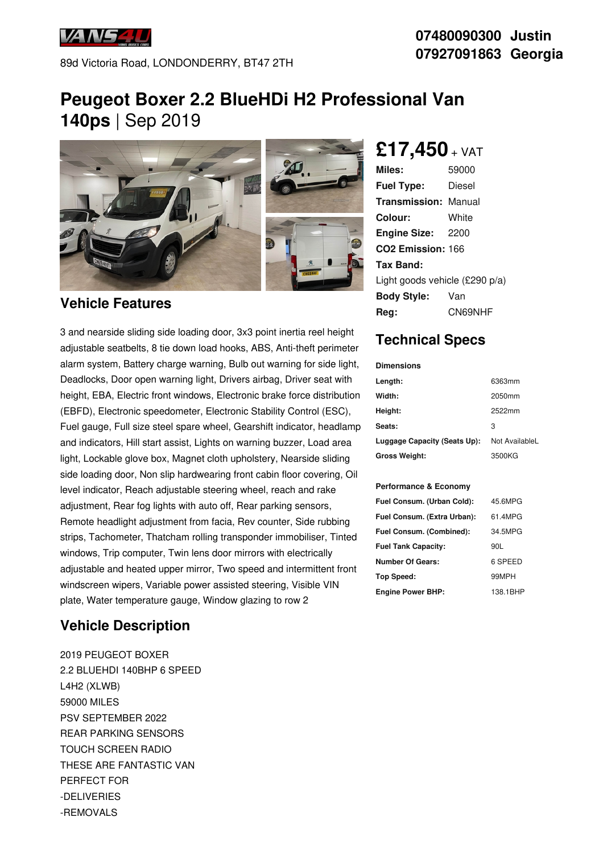

89d Victoria Road, LONDONDERRY, BT47 2TH

#### **07480090300 Justin 07927091863 Georgia**

# **Peugeot Boxer 2.2 BlueHDi H2 Professional Van 140ps** | Sep 2019



#### **Vehicle Features**

3 and nearside sliding side loading door, 3x3 point inertia reel height adjustable seatbelts, 8 tie down load hooks, ABS, Anti-theft perimeter alarm system, Battery charge warning, Bulb out warning for side light, Deadlocks, Door open warning light, Drivers airbag, Driver seat with height, EBA, Electric front windows, Electronic brake force distribution (EBFD), Electronic speedometer, Electronic Stability Control (ESC), Fuel gauge, Full size steel spare wheel, Gearshift indicator, headlamp and indicators, Hill start assist, Lights on warning buzzer, Load area light, Lockable glove box, Magnet cloth upholstery, Nearside sliding side loading door, Non slip hardwearing front cabin floor covering, Oil level indicator, Reach adjustable steering wheel, reach and rake adjustment, Rear fog lights with auto off, Rear parking sensors, Remote headlight adjustment from facia, Rev counter, Side rubbing strips, Tachometer, Thatcham rolling transponder immobiliser, Tinted windows, Trip computer, Twin lens door mirrors with electrically adjustable and heated upper mirror, Two speed and intermittent front windscreen wipers, Variable power assisted steering, Visible VIN plate, Water temperature gauge, Window glazing to row 2

#### **Vehicle Description**

2019 PEUGEOT BOXER 2.2 BLUEHDI 140BHP 6 SPEED L4H2 (XLWB) 59000 MILES PSV SEPTEMBER 2022 REAR PARKING SENSORS TOUCH SCREEN RADIO THESE ARE FANTASTIC VAN PERFECT FOR -DELIVERIES -REMOVALS

## **£17,450** <sup>+</sup> VAT

| Miles:                         | 59000   |
|--------------------------------|---------|
| <b>Fuel Type:</b>              | Diesel  |
| Transmission:                  | Manual  |
| Colour:                        | White   |
| <b>Engine Size:</b>            | - 2200  |
| CO <sub>2</sub> Emission: 166  |         |
| Tax Band:                      |         |
| Light goods vehicle (£290 p/a) |         |
| <b>Body Style:</b>             | Van     |
| Rea:                           | CN69NHF |

### **Technical Specs**

| <b>Dimensions</b>            |                |
|------------------------------|----------------|
| Length:                      | 6363mm         |
| Width:                       | 2050mm         |
| Height:                      | 2522mm         |
| Seats:                       | 3              |
| Luggage Capacity (Seats Up): | Not AvailableL |
| Gross Weight:                | 3500KG         |
|                              |                |
| Performance & Economy        |                |
| Fuel Consum. (Urban Cold):   | 45.6MPG        |
| Fuel Consum. (Extra Urban):  | 61.4MPG        |
| Fuel Consum. (Combined):     | 34.5MPG        |
| <b>Fuel Tank Capacity:</b>   | 90L            |
| <b>Number Of Gears:</b>      | 6 SPEED        |
| <b>Top Speed:</b>            | 99MPH          |
| <b>Engine Power BHP:</b>     | 138.1BHP       |